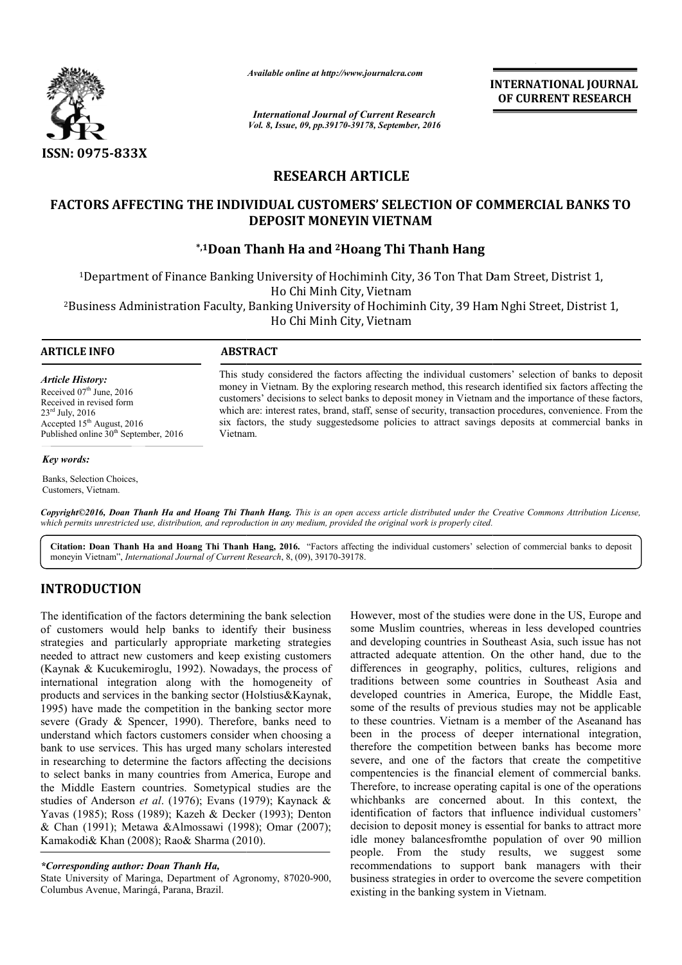

*Available online at http://www.journalcra.com*

*International Journal of Current Research Vol. 8, Issue, 09, pp.39170-39178, September, 2016* INTERNATIONAL JOURNAL OF CURRENT RESEARCH

# RESEARCH ARTICLE

# FACTORS AFFECTING THE INDIVIDUAL CUSTOMERS' SELECTION OF COMMERCIAL BANKS TO DEPOSIT MONEYIN VIETNAM

# \*,1Doan Thanh Ha and Doan 2Hoang Thi Thanh Hang

1Department of Finance Banking University of Hochiminh City, 36 Ton That Dam Street, Distrist 1, 2Business Administration Faculty, Banking University of Hochiminh City, 39 Ham Nghi Street, Distrist 1, Business Ho Chi Minh City, Vietnam Ho Chi Minh City, Vietnam Hochiminh City, 36 Ton That Dam Street,<br>h City, Vietnam<br>rsity of Hochiminh City, 39 Ham Nghi Stre

 $\overline{a}$ 

# ARTICLE INFO ABSTRACT

*Article History:* Received 07<sup>th</sup> June, 2016 Received in revised form 23rd July, 2016 Accepted 15<sup>th</sup> August, 2016 Published online 30<sup>th</sup> September, 2016

### *Key words:*

Banks, Selection Choices, Customers, Vietnam.

This study considered the factors affecting the individual customers' selection of banks to deposit money in Vietnam. By the exploring research method, this research identified six factors affecting the customers' decisions to select banks to deposit money in Vietnam and the importance of these factors, which are: interest rates, brand, staff, sense of security, transaction procedures, convenience. From the six factors, the study suggestedsome policies to attract savings deposits at commercial banks in Vietnam. This study considered the factors affecting the individual customers' selection of banks to money in Vietnam. By the exploring research method, this research identified six factors affeceustomers' decisions to select banks

*Copyright©2016, Doan Thanh Ha and Hoang Thi Thanh Hang Hang. This is an open access article distributed under the Creative Commons Att the Commons Attribution License,*  which permits unrestricted use, distribution, and reproduction in any medium, provided the original work is properly cited.

Citation: Doan Thanh Ha and Hoang Thi Thanh Hang, 2016. "Factors affecting the individual customers' selection of commercial banks to deposit moneyin Vietnam", *International Journal of Current Research*, 8, (09), 39170-39178.

# INTRODUCTION

The identification of the factors determining the bank selection of customers would help banks to identify their business strategies and particularly appropriate marketing strategies needed to attract new customers and keep existing customers (Kaynak & Kucukemiroglu, 1992). Nowadays, the process of international integration along with the homogeneity of products and services in the banking sector (Holstius&Kaynak, 1995) have made the competition in the banking sector more severe (Grady & Spencer, 1990). Therefore, banks need to understand which factors customers consider when choosing a bank to use services. This has urged many scholars interested in researching to determine the factors affecting the decisions to select banks in many countries from America, Europe and the Middle Eastern countries. Sometypical studies are the studies of Anderson *et al.* (1976); Evans (1979); Kaynack & Yavas (1985); Ross (1989); Kazeh & Decker (1993); Denton & Chan (1991); Metawa &Almossawi (1998); Omar (2007); Kamakodi& Khan (2008); Rao& Sharma (2010).

# *\*Corresponding author: Doan Thanh Ha,*

State University of Maringa, Department of Agronomy, 87020-900, Columbus Avenue, Maringá, Parana, Brazil.

However, most of the studies were done in the US, Europe and some Muslim countries, whereas in less developed countries and developing countries in Southeast Asia, such issue has not attracted adequate attention. On the other hand, due to the differences in geography, politics, cultures, religions and traditions between some countries in Southeast Asia and developed countries in America, Europe, the Middle East, some of the results of previous studies may not be applicable to these countries. Vietnam is a member of the Aseanand has been in the process of deeper international integration, therefore the competition between banks has become more severe, and one of the factors that create the competitive compentencies is the financial element of commercial banks. Therefore, to increase operating capital is one of the operations whichbanks are concerned about. In this context, the identification of factors that influence individual customers' decision to deposit money is essential for banks to attract more idle money balancesfromthe population of over 90 million people. From the study results, we suggest some recommendations to support bank managers with their business strategies in order to overcome the severe competition existing in the banking system in Vietnam. However, most of the studies were done in the US, Europe and some Muslim countries, whereas in less developed countries and developing countries in Southeast Asia, such issue has not attracted adequate attention. On the ot some of the results of previous studies may not be applicable<br>to these countries. Vietnam is a member of the Aseanand has<br>been in the process of deeper international integration,<br>therefore the competition between banks has **INTERNATIONAL JOURNAL**<br>
INTERNATIONAL JOURNAL<br>
IF Research<br>
IF Research<br>
IF Research<br>
IELE<br>
ELECTION OF COMMERCIAL BANKS TO<br>
TINAM<br>
Thi Thanh Hang<br>
City, 36 Ton That Dam Street, Distrist 1,<br>
himinh City, 39 Ham Nghi Stree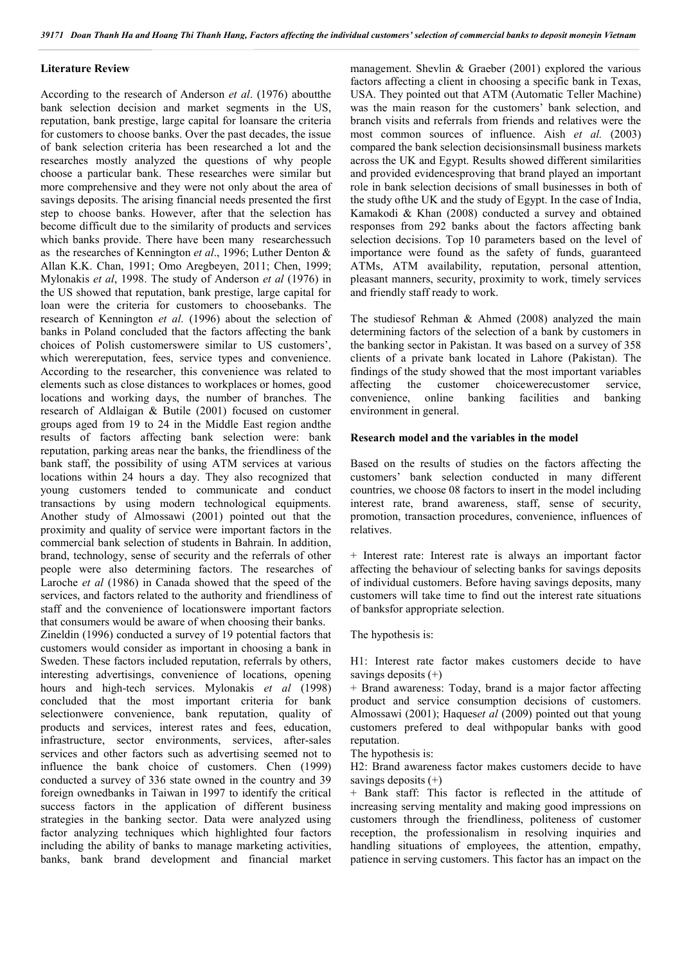# Literature Review

According to the research of Anderson *et al*. (1976) aboutthe bank selection decision and market segments in the US, reputation, bank prestige, large capital for loansare the criteria for customers to choose banks. Over the past decades, the issue of bank selection criteria has been researched a lot and the researches mostly analyzed the questions of why people choose a particular bank. These researches were similar but more comprehensive and they were not only about the area of savings deposits. The arising financial needs presented the first step to choose banks. However, after that the selection has become difficult due to the similarity of products and services which banks provide. There have been many researchessuch as the researches of Kennington *et al*., 1996; Luther Denton & Allan K.K. Chan, 1991; Omo Aregbeyen, 2011; Chen, 1999; Mylonakis *et al*, 1998. The study of Anderson *et al* (1976) in the US showed that reputation, bank prestige, large capital for loan were the criteria for customers to choosebanks. The research of Kennington *et al.* (1996) about the selection of banks in Poland concluded that the factors affecting the bank choices of Polish customerswere similar to US customers', which werereputation, fees, service types and convenience. According to the researcher, this convenience was related to elements such as close distances to workplaces or homes, good locations and working days, the number of branches. The research of Aldlaigan & Butile (2001) focused on customer groups aged from 19 to 24 in the Middle East region andthe results of factors affecting bank selection were: bank reputation, parking areas near the banks, the friendliness of the bank staff, the possibility of using ATM services at various locations within 24 hours a day. They also recognized that young customers tended to communicate and conduct transactions by using modern technological equipments. Another study of Almossawi (2001) pointed out that the proximity and quality of service were important factors in the commercial bank selection of students in Bahrain. In addition, brand, technology, sense of security and the referrals of other people were also determining factors. The researches of Laroche *et al* (1986) in Canada showed that the speed of the services, and factors related to the authority and friendliness of staff and the convenience of locationswere important factors that consumers would be aware of when choosing their banks. Zineldin (1996) conducted a survey of 19 potential factors that customers would consider as important in choosing a bank in Sweden. These factors included reputation, referrals by others, interesting advertisings, convenience of locations, opening hours and high-tech services. Mylonakis *et al* (1998) concluded that the most important criteria for bank selectionwere convenience, bank reputation, quality of products and services, interest rates and fees, education, infrastructure, sector environments, services, after-sales services and other factors such as advertising seemed not to influence the bank choice of customers. Chen (1999) conducted a survey of 336 state owned in the country and 39 foreign ownedbanks in Taiwan in 1997 to identify the critical success factors in the application of different business strategies in the banking sector. Data were analyzed using factor analyzing techniques which highlighted four factors including the ability of banks to manage marketing activities, banks, bank brand development and financial market management. Shevlin & Graeber (2001) explored the various factors affecting a client in choosing a specific bank in Texas, USA. They pointed out that ATM (Automatic Teller Machine) was the main reason for the customers' bank selection, and branch visits and referrals from friends and relatives were the most common sources of influence. Aish *et al.* (2003) compared the bank selection decisionsinsmall business markets across the UK and Egypt. Results showed different similarities and provided evidencesproving that brand played an important role in bank selection decisions of small businesses in both of the study ofthe UK and the study of Egypt. In the case of India, Kamakodi & Khan (2008) conducted a survey and obtained responses from 292 banks about the factors affecting bank selection decisions. Top 10 parameters based on the level of importance were found as the safety of funds, guaranteed ATMs, ATM availability, reputation, personal attention, pleasant manners, security, proximity to work, timely services and friendly staff ready to work.

The studiesof Rehman & Ahmed (2008) analyzed the main determining factors of the selection of a bank by customers in the banking sector in Pakistan. It was based on a survey of 358 clients of a private bank located in Lahore (Pakistan). The findings of the study showed that the most important variables affecting the customer choicewerecustomer service, convenience, online banking facilities and banking environment in general.

# Research model and the variables in the model

Based on the results of studies on the factors affecting the customers' bank selection conducted in many different countries, we choose 08 factors to insert in the model including interest rate, brand awareness, staff, sense of security, promotion, transaction procedures, convenience, influences of relatives.

+ Interest rate: Interest rate is always an important factor affecting the behaviour of selecting banks for savings deposits of individual customers. Before having savings deposits, many customers will take time to find out the interest rate situations of banksfor appropriate selection.

The hypothesis is:

H1: Interest rate factor makes customers decide to have savings deposits  $(+)$ 

+ Brand awareness: Today, brand is a major factor affecting product and service consumption decisions of customers. Almossawi (2001); Haques*et al* (2009) pointed out that young customers prefered to deal withpopular banks with good reputation.

The hypothesis is:

H2: Brand awareness factor makes customers decide to have savings deposits (+)

+ Bank staff: This factor is reflected in the attitude of increasing serving mentality and making good impressions on customers through the friendliness, politeness of customer reception, the professionalism in resolving inquiries and handling situations of employees, the attention, empathy, patience in serving customers. This factor has an impact on the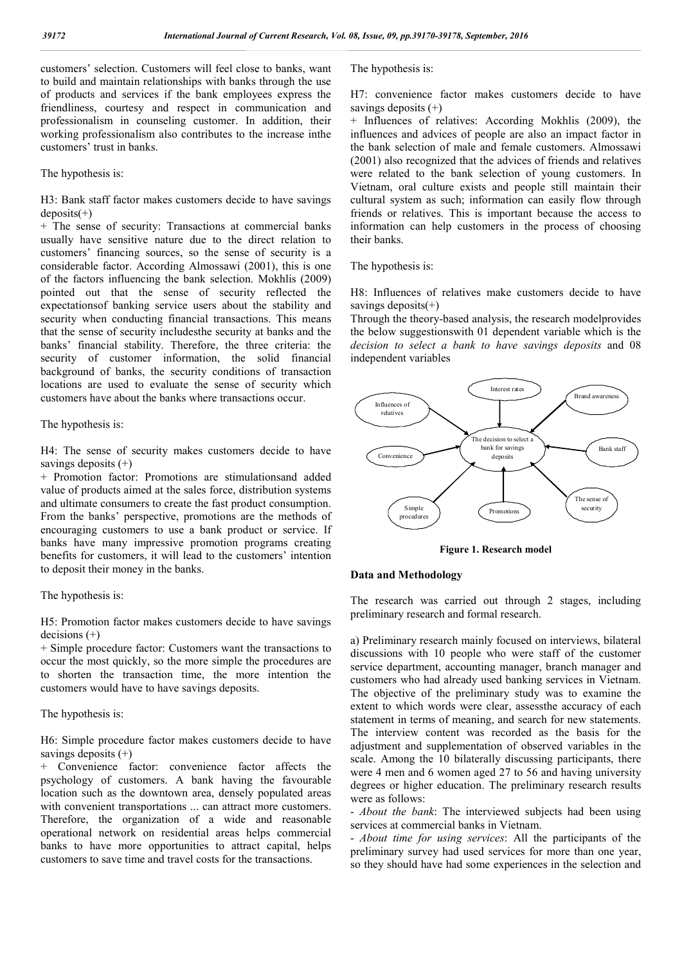customers' selection. Customers will feel close to banks, want to build and maintain relationships with banks through the use of products and services if the bank employees express the friendliness, courtesy and respect in communication and professionalism in counseling customer. In addition, their working professionalism also contributes to the increase inthe customers' trust in banks.

The hypothesis is:

H3: Bank staff factor makes customers decide to have savings  $deposits(+)$ 

+ The sense of security: Transactions at commercial banks usually have sensitive nature due to the direct relation to customers' financing sources, so the sense of security is a considerable factor. According Almossawi (2001), this is one of the factors influencing the bank selection. Mokhlis (2009) pointed out that the sense of security reflected the expectationsof banking service users about the stability and security when conducting financial transactions. This means that the sense of security includesthe security at banks and the banks' financial stability. Therefore, the three criteria: the security of customer information, the solid financial background of banks, the security conditions of transaction locations are used to evaluate the sense of security which customers have about the banks where transactions occur.

### The hypothesis is:

H4: The sense of security makes customers decide to have savings deposits  $(+)$ 

+ Promotion factor: Promotions are stimulationsand added value of products aimed at the sales force, distribution systems and ultimate consumers to create the fast product consumption. From the banks' perspective, promotions are the methods of encouraging customers to use a bank product or service. If banks have many impressive promotion programs creating benefits for customers, it will lead to the customers' intention to deposit their money in the banks.

# The hypothesis is:

H5: Promotion factor makes customers decide to have savings  $decisions (+)$ 

+ Simple procedure factor: Customers want the transactions to occur the most quickly, so the more simple the procedures are to shorten the transaction time, the more intention the customers would have to have savings deposits.

# The hypothesis is:

H6: Simple procedure factor makes customers decide to have savings deposits  $(+)$ 

+ Convenience factor: convenience factor affects the psychology of customers. A bank having the favourable location such as the downtown area, densely populated areas with convenient transportations ... can attract more customers. Therefore, the organization of a wide and reasonable operational network on residential areas helps commercial banks to have more opportunities to attract capital, helps customers to save time and travel costs for the transactions.

The hypothesis is:

H7: convenience factor makes customers decide to have savings deposits (+)

+ Influences of relatives: According Mokhlis (2009), the influences and advices of people are also an impact factor in the bank selection of male and female customers. Almossawi (2001) also recognized that the advices of friends and relatives were related to the bank selection of young customers. In Vietnam, oral culture exists and people still maintain their cultural system as such; information can easily flow through friends or relatives. This is important because the access to information can help customers in the process of choosing their banks.

The hypothesis is:

H8: Influences of relatives make customers decide to have savings deposits(+)

Through the theory-based analysis, the research modelprovides the below suggestionswith 01 dependent variable which is the *decision to select a bank to have savings deposits* and 08 independent variables



Figure 1. Research model

# Data and Methodology

The research was carried out through 2 stages, including preliminary research and formal research.

a) Preliminary research mainly focused on interviews, bilateral discussions with 10 people who were staff of the customer service department, accounting manager, branch manager and customers who had already used banking services in Vietnam. The objective of the preliminary study was to examine the extent to which words were clear, assessthe accuracy of each statement in terms of meaning, and search for new statements. The interview content was recorded as the basis for the adjustment and supplementation of observed variables in the scale. Among the 10 bilaterally discussing participants, there were 4 men and 6 women aged 27 to 56 and having university degrees or higher education. The preliminary research results were as follows:

- *About the bank*: The interviewed subjects had been using services at commercial banks in Vietnam.

- *About time for using services*: All the participants of the preliminary survey had used services for more than one year, so they should have had some experiences in the selection and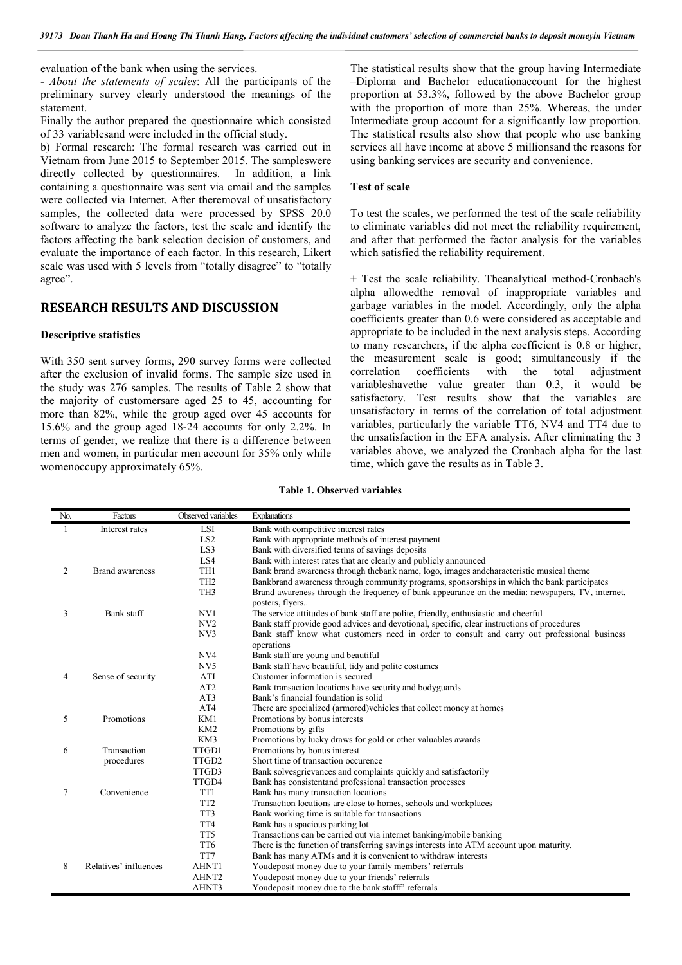evaluation of the bank when using the services.

- *About the statements of scales*: All the participants of the preliminary survey clearly understood the meanings of the statement.

Finally the author prepared the questionnaire which consisted of 33 variablesand were included in the official study.

b) Formal research: The formal research was carried out in Vietnam from June 2015 to September 2015. The sampleswere directly collected by questionnaires. In addition, a link containing a questionnaire was sent via email and the samples were collected via Internet. After theremoval of unsatisfactory samples, the collected data were processed by SPSS 20.0 software to analyze the factors, test the scale and identify the factors affecting the bank selection decision of customers, and evaluate the importance of each factor. In this research, Likert scale was used with 5 levels from "totally disagree" to "totally agree".

# RESEARCH RESULTS AND DISCUSSION

### Descriptive statistics

With 350 sent survey forms, 290 survey forms were collected after the exclusion of invalid forms. The sample size used in the study was 276 samples. The results of Table 2 show that the majority of customersare aged 25 to 45, accounting for more than 82%, while the group aged over 45 accounts for 15.6% and the group aged 18-24 accounts for only 2.2%. In terms of gender, we realize that there is a difference between men and women, in particular men account for 35% only while womenoccupy approximately 65%.

The statistical results show that the group having Intermediate –Diploma and Bachelor educationaccount for the highest proportion at 53.3%, followed by the above Bachelor group with the proportion of more than 25%. Whereas, the under Intermediate group account for a significantly low proportion. The statistical results also show that people who use banking services all have income at above 5 millionsand the reasons for using banking services are security and convenience.

# Test of scale

To test the scales, we performed the test of the scale reliability to eliminate variables did not meet the reliability requirement, and after that performed the factor analysis for the variables which satisfied the reliability requirement.

+ Test the scale reliability. Theanalytical method-Cronbach's alpha allowedthe removal of inappropriate variables and garbage variables in the model. Accordingly, only the alpha coefficients greater than 0.6 were considered as acceptable and appropriate to be included in the next analysis steps. According to many researchers, if the alpha coefficient is 0.8 or higher, the measurement scale is good; simultaneously if the correlation coefficients with the total adjustment variableshavethe value greater than 0.3, it would be satisfactory. Test results show that the variables are unsatisfactory in terms of the correlation of total adjustment variables, particularly the variable TT6, NV4 and TT4 due to the unsatisfaction in the EFA analysis. After eliminating the 3 variables above, we analyzed the Cronbach alpha for the last time, which gave the results as in Table 3.

Table 1. Observed variables

| No.            | Factors                | Observed variables | <b>Explanations</b>                                                                              |
|----------------|------------------------|--------------------|--------------------------------------------------------------------------------------------------|
| 1              | Interest rates         | <b>LSI</b>         | Bank with competitive interest rates                                                             |
|                |                        | LS <sub>2</sub>    | Bank with appropriate methods of interest payment                                                |
|                |                        | LS3                | Bank with diversified terms of savings deposits                                                  |
|                |                        | LS4                | Bank with interest rates that are clearly and publicly announced                                 |
| 2              | <b>Brand awareness</b> | TH1                | Bank brand awareness through the bank name, logo, images and characteristic musical theme        |
|                |                        | TH <sub>2</sub>    | Bankbrand awareness through community programs, sponsorships in which the bank participates      |
|                |                        | TH <sub>3</sub>    | Brand awareness through the frequency of bank appearance on the media: newspapers, TV, internet, |
|                |                        |                    | posters, flyers                                                                                  |
| 3              | Bank staff             | NV1                | The service attitudes of bank staff are polite, friendly, enthusiastic and cheerful              |
|                |                        | NV <sub>2</sub>    | Bank staff provide good advices and devotional, specific, clear instructions of procedures       |
|                |                        | NV3                | Bank staff know what customers need in order to consult and carry out professional business      |
|                |                        |                    | operations                                                                                       |
|                |                        | NV <sub>4</sub>    | Bank staff are young and beautiful                                                               |
|                |                        | NV <sub>5</sub>    | Bank staff have beautiful, tidy and polite costumes                                              |
| $\overline{4}$ | Sense of security      | ATI                | Customer information is secured                                                                  |
|                |                        | AT2                | Bank transaction locations have security and bodyguards                                          |
|                |                        | AT3                | Bank's financial foundation is solid                                                             |
|                |                        | AT4                | There are specialized (armored) vehicles that collect money at homes                             |
| 5              | Promotions             | KM1                | Promotions by bonus interests                                                                    |
|                |                        | KM <sub>2</sub>    | Promotions by gifts                                                                              |
|                |                        | KM3                | Promotions by lucky draws for gold or other valuables awards                                     |
| 6              | Transaction            | TTGD1              | Promotions by bonus interest                                                                     |
|                | procedures             | TTGD <sub>2</sub>  | Short time of transaction occurence                                                              |
|                |                        | TTGD3              | Bank solves grievances and complaints quickly and satisfactorily                                 |
|                |                        | TTGD4              | Bank has consistentand professional transaction processes                                        |
| 7              | Convenience            | TT1                | Bank has many transaction locations                                                              |
|                |                        | TT <sub>2</sub>    | Transaction locations are close to homes, schools and workplaces                                 |
|                |                        | TT3                | Bank working time is suitable for transactions                                                   |
|                |                        | TT <sub>4</sub>    | Bank has a spacious parking lot                                                                  |
|                |                        | TT <sub>5</sub>    | Transactions can be carried out via internet banking/mobile banking                              |
|                |                        | TT6                | There is the function of transferring savings interests into ATM account upon maturity.          |
|                |                        | TT7                | Bank has many ATMs and it is convenient to withdraw interests                                    |
| 8              | Relatives' influences  | AHNT1              | Youdeposit money due to your family members' referrals                                           |
|                |                        | AHNT <sub>2</sub>  | Youdeposit money due to your friends' referrals                                                  |
|                |                        | AHNT3              | Youdeposit money due to the bank stafff' referrals                                               |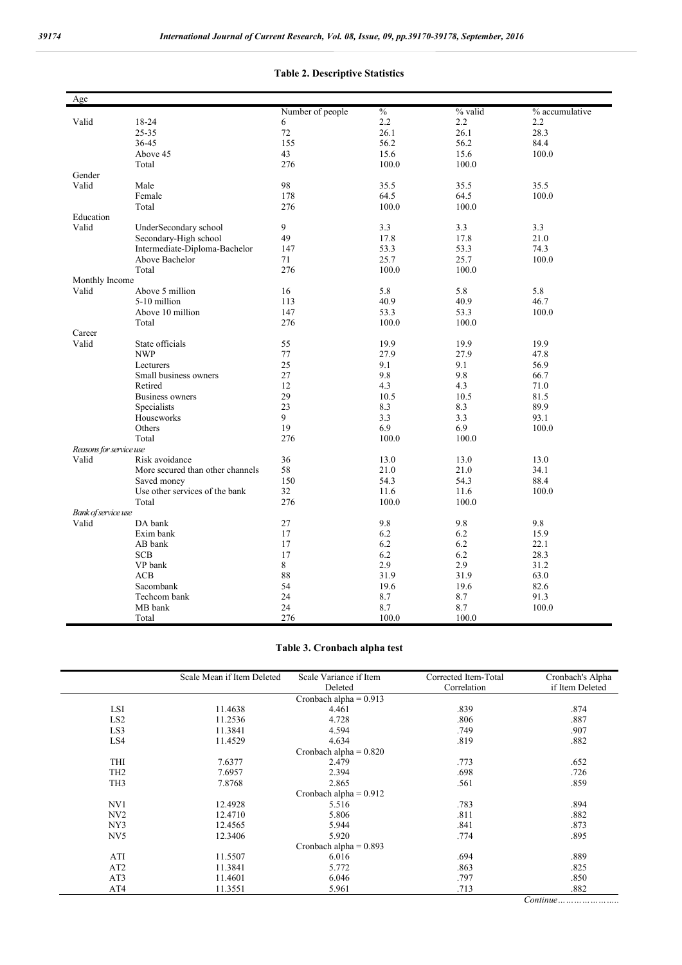#### Age Number of people  $\frac{\%}{2.2}$  % valid % accumulative 6 <br>2.2 <br>2.2 <br>2.2 <br>2.2 Valid 18-24 6 2.2 2.2 2.2 25-35 72 26.1 26.1 28.3 36-45 155 155 56.2 56.2 84.4 Above 45 15.6 15.6 100.0 Total 100.0 100.0 100.0 Gender<br>Valid Valid Male 98 35.5 35.5 35.5 35.5 Female 178 178 64.5 64.5 100.0 Total 100.0 100.0 100.0 100.0 Education Valid UnderSecondary school 9 3.3 3.3 3.3 Secondary-High school 49 17.8 17.8 21.0<br>
Intermediate-Diploma-Bachelor 147 53.3 53.3 74.3 Intermediate-Diploma-Bachelor Above Bachelor 71 25.7 25.7 100.0<br>Total 276 100.0 100.0 Total 100.0 100.0 100.0 Monthly Income Valid Above 5 million 16 5.8 5.8 5.8 5-10 million 113 113 40.9 40.9 46.7 Above 10 million 147 53.3 53.3 100.0<br>
Total 100.0 100.0 Total 100.0 100.0 100.0 Career<br>Valid Valid State officials 55 19.9 19.9 19.9 NWP 27.9 27.9 27.9 27.9 47.8 Lecturers 25 9.1 9.1 56.9 Small business owners 27 9.8 9.8 66.7<br>Retired 12 4.3 4.3 71.0 Retired 12 4.3 4.3 71.0 Business owners 29 29 10.5 10.5 81.5<br>Specialists 23 8.3 8.9 Specialists 23 8.3 89.9 Houseworks 9 3.3 3.3 93.1 93.1 9 3.3 93.1 9 3.3 9 3.3 9 3.1 9 3.1 9 3.3 9 3.1 9 3.1 9 3.3 9 3.1 9 3.1 9 3.1 9 3.1 9 3.1 9 3.1 9 3.1 9 3.1 9 3.1 9 3.1 9 3.1 9 3.1 9 3.1 9 3.1 9 3.1 9 3.1 9 3.1 9 3.1 9 3.1 9 3.1 9 3.1 9 3.1 Others 19 19 6.9 6.9 100.0 Total 100.0 100.0 100.0 *Reasons for service use* Valid Risk avoidance 36 13.0 13.0 13.0 More secured than other channels 58 21.0 21.0 34.1<br>Saved money 150 54.3 54.3 88.4 Saved money Use other services of the bank  $32$  11.6 100.0<br>Total 276 100.0 100.0 Total 100.0 100.0 100.0 100.0 *Bank of service use* Valid DA bank 27 9.8 9.8 9.8 Exim bank 17 6.2 6.2 15.9 AB bank 17 6.2 6.2 22.1 SCB  $17$  6.2 6.2 28.3 VP bank 8 2.9 2.9 2.9 31.2 ACB 88 31.9 31.9 63.0 Sacombank 54 19.6 19.6 82.6 Techcom bank 24 8.7 8.7 91.3 MB bank 24 8.7 8.7 100.0 Total 100.0 100.0 100.0

#### Table 2. Descriptive Statistics

### Table 3. Cronbach alpha test

|                  | Scale Mean if Item Deleted | Scale Variance if Item   | Corrected Item-Total | Cronbach's Alpha |
|------------------|----------------------------|--------------------------|----------------------|------------------|
|                  |                            | Deleted                  | Correlation          | if Item Deleted  |
|                  |                            | Cronbach alpha = $0.913$ |                      |                  |
| LSI              | 11.4638                    | 4.461                    | .839                 | .874             |
| LS <sub>2</sub>  | 11.2536                    | 4.728                    | .806                 | .887             |
| LS3              | 11.3841                    | 4.594                    | .749                 | .907             |
| LS4              | 11.4529                    | 4.634                    | .819                 | .882             |
|                  |                            | Cronbach alpha = $0.820$ |                      |                  |
| <b>THI</b>       | 7.6377                     | 2.479                    | .773                 | .652             |
| TH <sub>2</sub>  | 7.6957                     | 2.394                    | .698                 | .726             |
| TH <sub>3</sub>  | 7.8768                     | 2.865                    | .561                 | .859             |
|                  |                            | Cronbach alpha = $0.912$ |                      |                  |
| NV1              | 12.4928                    | 5.516                    | .783                 | .894             |
| N <sub>V</sub> 2 | 12.4710                    | 5.806                    | .811                 | .882             |
| NY3              | 12.4565                    | 5.944                    | .841                 | .873             |
| NV <sub>5</sub>  | 12.3406                    | 5.920                    | .774                 | .895             |
|                  |                            | Cronbach alpha = $0.893$ |                      |                  |
| ATI              | 11.5507                    | 6.016                    | .694                 | .889             |
| AT2              | 11.3841                    | 5.772                    | .863                 | .825             |
| AT3              | 11.4601                    | 6.046                    | .797                 | .850             |
| AT4              | 11.3551                    | 5.961                    | .713                 | .882             |

*Continue…………………..*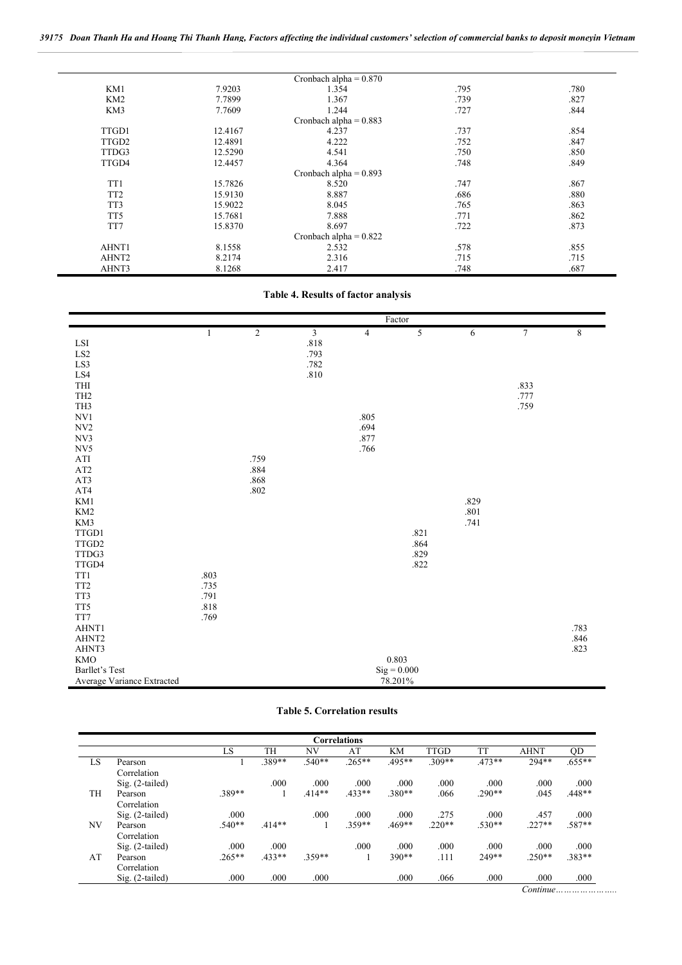*39175 Doan Thanh Ha and Hoang Thi Thanh Hang, Factors affecting the individual customers' selection of commercial banks to deposit moneyin Vietnam*

|                   |         | Cronbach alpha = $0.870$ |      |      |
|-------------------|---------|--------------------------|------|------|
| KM1               | 7.9203  | 1.354                    | .795 | .780 |
| KM2               | 7.7899  | 1.367                    | .739 | .827 |
| KM3               | 7.7609  | 1.244                    | .727 | .844 |
|                   |         | Cronbach alpha = $0.883$ |      |      |
| TTGD1             | 12.4167 | 4.237                    | .737 | .854 |
| TTGD <sub>2</sub> | 12.4891 | 4.222                    | .752 | .847 |
| TTDG3             | 12.5290 | 4.541                    | .750 | .850 |
| TTGD4             | 12.4457 | 4.364                    | .748 | .849 |
|                   |         | Cronbach alpha = $0.893$ |      |      |
| TT1               | 15.7826 | 8.520                    | .747 | .867 |
| TT <sub>2</sub>   | 15.9130 | 8.887                    | .686 | .880 |
| TT3               | 15.9022 | 8.045                    | .765 | .863 |
| TT <sub>5</sub>   | 15.7681 | 7.888                    | .771 | .862 |
| TT7               | 15.8370 | 8.697                    | .722 | .873 |
|                   |         | Cronbach alpha = $0.822$ |      |      |
| AHNT1             | 8.1558  | 2.532                    | .578 | .855 |
| AHNT <sub>2</sub> | 8.2174  | 2.316                    | .715 | .715 |
| AHNT3             | 8.1268  | 2.417                    | .748 | .687 |

# Table 4. Results of factor analysis

|                                                   |              |                |                         |                | Factor               |                  |                |             |
|---------------------------------------------------|--------------|----------------|-------------------------|----------------|----------------------|------------------|----------------|-------------|
|                                                   | $\mathbf{1}$ | $\overline{2}$ | $\overline{\mathbf{3}}$ | $\overline{4}$ | 5                    | $\boldsymbol{6}$ | $\overline{7}$ | $\,$ 8 $\,$ |
| $\operatorname{LSI}$                              |              |                | $.818\,$                |                |                      |                  |                |             |
| $\operatorname{LS2}$                              |              |                | .793                    |                |                      |                  |                |             |
| $\operatorname{LS3}$                              |              |                | .782                    |                |                      |                  |                |             |
| $\operatorname{LS4}$                              |              |                | $.810\,$                |                |                      |                  |                |             |
| THI                                               |              |                |                         |                |                      |                  | .833           |             |
| TH <sub>2</sub>                                   |              |                |                         |                |                      |                  | .777           |             |
| TH <sub>3</sub>                                   |              |                |                         |                |                      |                  | .759           |             |
| NVI                                               |              |                |                         | .805           |                      |                  |                |             |
| NV <sub>2</sub>                                   |              |                |                         | .694           |                      |                  |                |             |
| NV3                                               |              |                |                         | .877           |                      |                  |                |             |
| ${\rm NV5}$                                       |              |                |                         | .766           |                      |                  |                |             |
| $\rm{ATI}$                                        |              | .759           |                         |                |                      |                  |                |             |
| AT2                                               |              | .884           |                         |                |                      |                  |                |             |
| AT3                                               |              | $.868\,$       |                         |                |                      |                  |                |             |
| AT4                                               |              | $.802\,$       |                         |                |                      |                  |                |             |
| KM1                                               |              |                |                         |                |                      | .829             |                |             |
| KM <sub>2</sub>                                   |              |                |                         |                |                      | $.801\,$         |                |             |
| KM3                                               |              |                |                         |                |                      | .741             |                |             |
| $TTGD1$                                           |              |                |                         |                | .821                 |                  |                |             |
| TTGD2                                             |              |                |                         |                | .864                 |                  |                |             |
| TTDG3                                             |              |                |                         |                | .829                 |                  |                |             |
| TTGD4                                             |              |                |                         |                | .822                 |                  |                |             |
| TT1                                               | .803         |                |                         |                |                      |                  |                |             |
| TT <sub>2</sub>                                   | .735         |                |                         |                |                      |                  |                |             |
| TT3                                               | .791         |                |                         |                |                      |                  |                |             |
| TT5                                               | .818         |                |                         |                |                      |                  |                |             |
| $\ensuremath{\mathsf{T}}\ensuremath{\mathsf{T}}7$ | .769         |                |                         |                |                      |                  |                |             |
| AHNT1                                             |              |                |                         |                |                      |                  |                | .783        |
| AHNT <sub>2</sub>                                 |              |                |                         |                |                      |                  |                | $.846$      |
| AHNT3                                             |              |                |                         |                |                      |                  |                | .823        |
| <b>KMO</b>                                        |              |                |                         |                | 0.803                |                  |                |             |
| Barllet's Test                                    |              |                |                         |                | $\mathrm{Sig}=0.000$ |                  |                |             |
| Average Variance Extracted                        |              |                |                         |                | 78.201%              |                  |                |             |

# Table 5. Correlation results

| <b>Correlations</b> |                                          |          |          |          |          |           |             |          |             |           |
|---------------------|------------------------------------------|----------|----------|----------|----------|-----------|-------------|----------|-------------|-----------|
|                     |                                          | LS       | TH       | NV       | AT       | <b>KM</b> | <b>TTGD</b> | TT       | <b>AHNT</b> | QD        |
| LS                  | Pearson                                  |          | .389**   | $.540**$ | $.265**$ | .495**    | 309**       | $.473**$ | 294**       | $.655***$ |
|                     | Correlation                              |          |          |          |          |           |             |          |             |           |
|                     | $Sig. (2-tailed)$                        |          | .000     | .000     | .000     | .000      | .000        | .000     | .000        | .000      |
| TH                  | Pearson                                  | 389**    |          | $.414**$ | $.433**$ | .380**    | .066        | $.290**$ | .045        | $.448**$  |
|                     | Correlation                              |          |          |          |          |           |             |          |             |           |
|                     | $Sig. (2-tailed)$                        | .000     |          | .000     | .000     | .000      | .275        | .000     | .457        | .000      |
| NV                  | Pearson                                  | $.540**$ | $.414**$ |          | .359**   | $.469**$  | $.220**$    | $.530**$ | $.227**$    | .587**    |
|                     | Correlation                              |          |          |          |          |           |             |          |             |           |
|                     | $Sig. (2-tailed)$                        | .000     | .000     |          | .000     | .000      | .000        | .000     | .000        | .000      |
| AT                  | Pearson                                  | $.265**$ | $.433**$ | 359**    |          | $390**$   | .111        | 249**    | $.250**$    | .383**    |
|                     | Correlation                              |          |          |          |          |           |             |          |             |           |
|                     | $Sig. (2-tailed)$                        | .000     | .000     | .000     |          | .000      | .066        | .000     | .000        | .000.     |
|                     | $Continue \dots \dots \dots \dots \dots$ |          |          |          |          |           |             |          |             |           |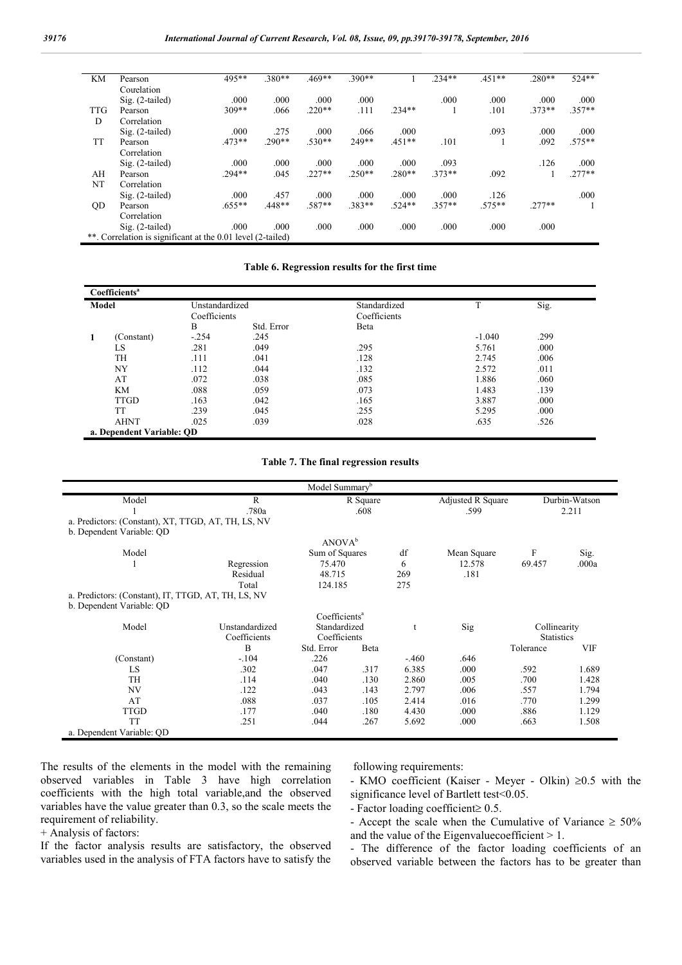| KM         | Pearson                                                     | 495**     | $.380**$ | $.469**$ | $390**$  |          | $.234**$ | $.451**$ | $.280**$ | 524**    |
|------------|-------------------------------------------------------------|-----------|----------|----------|----------|----------|----------|----------|----------|----------|
|            | Courelation                                                 |           |          |          |          |          |          |          |          |          |
|            | $Sig. (2-tailed)$                                           | .000      | .000     | .000     | .000     |          | .000     | .000     | .000     | .000     |
| <b>TTG</b> | Pearson                                                     | $309**$   | .066     | $.220**$ | .111     | $.234**$ |          | .101     | $373**$  | $.357**$ |
| D          | Correlation                                                 |           |          |          |          |          |          |          |          |          |
|            | $Sig. (2-tailed)$                                           | .000      | .275     | .000     | .066     | .000     |          | .093     | .000     | .000     |
| <b>TT</b>  | Pearson                                                     | $.473**$  | $.290**$ | $.530**$ | 249**    | $.451**$ | .101     |          | .092     | $.575**$ |
|            | Correlation                                                 |           |          |          |          |          |          |          |          |          |
|            | $Sig. (2-tailed)$                                           | .000      | .000     | .000     | .000     | .000     | .093     |          | .126     | .000     |
| AH         | Pearson                                                     | $.294**$  | .045     | $.227**$ | $.250**$ | $.280**$ | $.373**$ | .092     |          | $.277**$ |
| NT         | Correlation                                                 |           |          |          |          |          |          |          |          |          |
|            | $Sig. (2-tailed)$                                           | .000      | .457     | .000     | .000     | .000     | .000     | .126     |          | .000     |
| <b>OD</b>  | Pearson                                                     | $.655***$ | 448**    | $.587**$ | 383**    | $.524**$ | $.357**$ | $.575**$ | $277**$  |          |
|            | Correlation                                                 |           |          |          |          |          |          |          |          |          |
|            | $Sig. (2-tailed)$                                           | .000      | .000     | .000     | .000     | .000     | .000     | .000     | .000     |          |
|            | **. Correlation is significant at the 0.01 level (2-tailed) |           |          |          |          |          |          |          |          |          |
|            |                                                             |           |          |          |          |          |          |          |          |          |

#### Table 6. Regression results for the first time

|       | Coefficients <sup>a</sup> |                           |            |              |          |      |  |  |  |  |
|-------|---------------------------|---------------------------|------------|--------------|----------|------|--|--|--|--|
| Model |                           | Unstandardized            |            | Standardized | T        | Sig. |  |  |  |  |
|       |                           | Coefficients              |            | Coefficients |          |      |  |  |  |  |
|       |                           | B                         | Std. Error | Beta         |          |      |  |  |  |  |
|       | (Constant)                | $-.254$                   | .245       |              | $-1.040$ | .299 |  |  |  |  |
|       | LS                        | .281                      | .049       | .295         | 5.761    | .000 |  |  |  |  |
|       | TH                        | .111                      | .041       | .128         | 2.745    | .006 |  |  |  |  |
|       | NY                        | .112                      | .044       | .132         | 2.572    | .011 |  |  |  |  |
|       | AT                        | .072                      | .038       | .085         | 1.886    | .060 |  |  |  |  |
|       | KM                        | .088                      | .059       | .073         | 1.483    | .139 |  |  |  |  |
|       | <b>TTGD</b>               | .163                      | .042       | .165         | 3.887    | .000 |  |  |  |  |
|       | TT                        | .239                      | .045       | .255         | 5.295    | .000 |  |  |  |  |
|       | <b>AHNT</b>               | .025                      | .039       | .028         | .635     | .526 |  |  |  |  |
|       |                           | a. Dependent Variable: OD |            |              |          |      |  |  |  |  |

#### Table 7. The final regression results

|                                                     |                | Model Summary <sup>b</sup> |              |             |                   |                   |               |  |  |
|-----------------------------------------------------|----------------|----------------------------|--------------|-------------|-------------------|-------------------|---------------|--|--|
| Model                                               | R              |                            |              |             | Adjusted R Square |                   | Durbin-Watson |  |  |
|                                                     | .780a          |                            | .608         |             | .599              |                   | 2.211         |  |  |
| a. Predictors: (Constant), XT, TTGD, AT, TH, LS, NV |                |                            |              |             |                   |                   |               |  |  |
| b. Dependent Variable: QD                           |                |                            |              |             |                   |                   |               |  |  |
|                                                     |                | ANOVA <sup>b</sup>         |              |             |                   |                   |               |  |  |
| Model                                               |                | Sum of Squares             |              | df          | Mean Square       | F                 | Sig.          |  |  |
|                                                     | Regression     | 75.470                     |              | 6           | 12.578            | 69.457            | .000a         |  |  |
|                                                     | Residual       | 48.715                     |              | 269         | .181              |                   |               |  |  |
|                                                     | Total          | 124.185                    |              | 275         |                   |                   |               |  |  |
| a. Predictors: (Constant), IT, TTGD, AT, TH, LS, NV |                |                            |              |             |                   |                   |               |  |  |
| b. Dependent Variable: QD                           |                |                            |              |             |                   |                   |               |  |  |
|                                                     |                | Coefficients <sup>a</sup>  |              |             |                   |                   |               |  |  |
| Model                                               | Unstandardized | Standardized               |              | $\mathbf t$ | Sig               | Collinearity      |               |  |  |
|                                                     | Coefficients   |                            | Coefficients |             |                   | <b>Statistics</b> |               |  |  |
|                                                     | B              | Std. Error                 | Beta         |             |                   | Tolerance         | <b>VIF</b>    |  |  |
| (Constant)                                          | $-.104$        | .226                       |              | $-.460$     | .646              |                   |               |  |  |
| LS.                                                 | .302           | .047                       | .317         | 6.385       | .000              | .592              | 1.689         |  |  |
| <b>TH</b>                                           | .114           | .040                       | .130         | 2.860       | .005              | .700              | 1.428         |  |  |
| NV                                                  | .122           | .043                       | .143         | 2.797       | .006              | .557              | 1.794         |  |  |
| AT                                                  | .088           | .037                       | .105         | 2.414       | .016              | .770              | 1.299         |  |  |
| <b>TTGD</b>                                         | .177           | .040                       | .180         | 4.430       | .000              | .886              | 1.129         |  |  |
| <b>TT</b>                                           | .251           | .044                       | .267         | 5.692       | .000              | .663              | 1.508         |  |  |
| a. Dependent Variable: QD                           |                |                            |              |             |                   |                   |               |  |  |

The results of the elements in the model with the remaining observed variables in Table 3 have high correlation coefficients with the high total variable,and the observed variables have the value greater than 0.3, so the scale meets the requirement of reliability.

### + Analysis of factors:

If the factor analysis results are satisfactory, the observed variables used in the analysis of FTA factors have to satisfy the following requirements:

- KMO coefficient (Kaiser - Meyer - Olkin)  $\geq 0.5$  with the significance level of Bartlett test<0.05.

- Factor loading coefficient  $\geq 0.5$ .

- Accept the scale when the Cumulative of Variance  $\geq 50\%$ and the value of the Eigenvalue coefficient  $> 1$ .

- The difference of the factor loading coefficients of an observed variable between the factors has to be greater than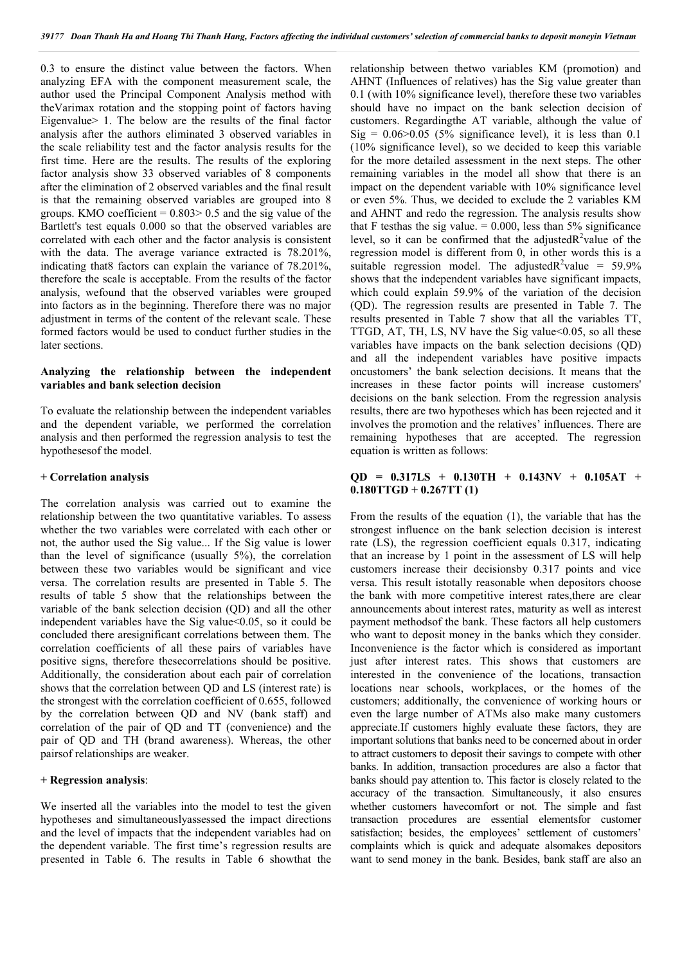0.3 to ensure the distinct value between the factors. When analyzing EFA with the component measurement scale, the author used the Principal Component Analysis method with theVarimax rotation and the stopping point of factors having Eigenvalue> 1. The below are the results of the final factor analysis after the authors eliminated 3 observed variables in the scale reliability test and the factor analysis results for the first time. Here are the results. The results of the exploring factor analysis show 33 observed variables of 8 components after the elimination of 2 observed variables and the final result is that the remaining observed variables are grouped into 8 groups. KMO coefficient  $= 0.803 > 0.5$  and the sig value of the Bartlett's test equals 0.000 so that the observed variables are correlated with each other and the factor analysis is consistent with the data. The average variance extracted is 78.201%, indicating that8 factors can explain the variance of 78.201%, therefore the scale is acceptable. From the results of the factor analysis, wefound that the observed variables were grouped into factors as in the beginning. Therefore there was no major adjustment in terms of the content of the relevant scale. These formed factors would be used to conduct further studies in the later sections.

# Analyzing the relationship between the independent variables and bank selection decision

To evaluate the relationship between the independent variables and the dependent variable, we performed the correlation analysis and then performed the regression analysis to test the hypothesesof the model.

### + Correlation analysis

The correlation analysis was carried out to examine the relationship between the two quantitative variables. To assess whether the two variables were correlated with each other or not, the author used the Sig value... If the Sig value is lower than the level of significance (usually 5%), the correlation between these two variables would be significant and vice versa. The correlation results are presented in Table 5. The results of table 5 show that the relationships between the variable of the bank selection decision (QD) and all the other independent variables have the Sig value < 0.05, so it could be concluded there aresignificant correlations between them. The correlation coefficients of all these pairs of variables have positive signs, therefore thesecorrelations should be positive. Additionally, the consideration about each pair of correlation shows that the correlation between QD and LS (interest rate) is the strongest with the correlation coefficient of 0.655, followed by the correlation between QD and NV (bank staff) and correlation of the pair of QD and TT (convenience) and the pair of QD and TH (brand awareness). Whereas, the other pairsof relationships are weaker.

# + Regression analysis:

We inserted all the variables into the model to test the given hypotheses and simultaneouslyassessed the impact directions and the level of impacts that the independent variables had on the dependent variable. The first time's regression results are presented in Table 6. The results in Table 6 showthat the

relationship between thetwo variables KM (promotion) and AHNT (Influences of relatives) has the Sig value greater than 0.1 (with 10% significance level), therefore these two variables should have no impact on the bank selection decision of customers. Regardingthe AT variable, although the value of  $Sig = 0.06 > 0.05$  (5% significance level), it is less than 0.1 (10% significance level), so we decided to keep this variable for the more detailed assessment in the next steps. The other remaining variables in the model all show that there is an impact on the dependent variable with 10% significance level or even 5%. Thus, we decided to exclude the 2 variables KM and AHNT and redo the regression. The analysis results show that F testhas the sig value.  $= 0.000$ , less than 5% significance level, so it can be confirmed that the adjusted  $R^2$  value of the regression model is different from 0, in other words this is a suitable regression model. The adjusted  $R^2$  value = 59.9% shows that the independent variables have significant impacts, which could explain 59.9% of the variation of the decision (QD). The regression results are presented in Table 7. The results presented in Table 7 show that all the variables TT, TTGD, AT, TH, LS, NV have the Sig value < 0.05, so all these variables have impacts on the bank selection decisions (QD) and all the independent variables have positive impacts oncustomers' the bank selection decisions. It means that the increases in these factor points will increase customers' decisions on the bank selection. From the regression analysis results, there are two hypotheses which has been rejected and it involves the promotion and the relatives' influences. There are remaining hypotheses that are accepted. The regression equation is written as follows:

# $QD = 0.317LS + 0.130TH + 0.143NV + 0.105AT +$  $0.180TTGD + 0.267TT(1)$

From the results of the equation (1), the variable that has the strongest influence on the bank selection decision is interest rate (LS), the regression coefficient equals 0.317, indicating that an increase by 1 point in the assessment of LS will help customers increase their decisionsby 0.317 points and vice versa. This result istotally reasonable when depositors choose the bank with more competitive interest rates,there are clear announcements about interest rates, maturity as well as interest payment methodsof the bank. These factors all help customers who want to deposit money in the banks which they consider. Inconvenience is the factor which is considered as important just after interest rates. This shows that customers are interested in the convenience of the locations, transaction locations near schools, workplaces, or the homes of the customers; additionally, the convenience of working hours or even the large number of ATMs also make many customers appreciate.If customers highly evaluate these factors, they are important solutions that banks need to be concerned about in order to attract customers to deposit their savings to compete with other banks. In addition, transaction procedures are also a factor that banks should pay attention to. This factor is closely related to the accuracy of the transaction. Simultaneously, it also ensures whether customers havecomfort or not. The simple and fast transaction procedures are essential elementsfor customer satisfaction; besides, the employees' settlement of customers' complaints which is quick and adequate alsomakes depositors want to send money in the bank. Besides, bank staff are also an